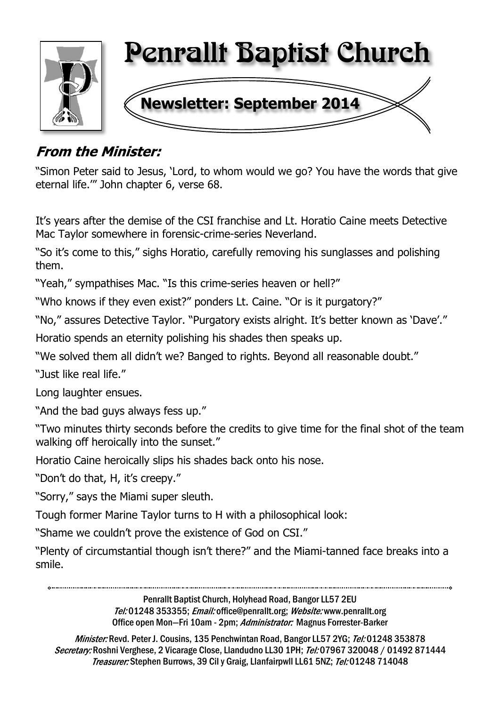

## **From the Minister:**

"Simon Peter said to Jesus, 'Lord, to whom would we go? You have the words that give eternal life.'" John chapter 6, verse 68.

It's years after the demise of the CSI franchise and Lt. Horatio Caine meets Detective Mac Taylor somewhere in forensic-crime-series Neverland.

"So it's come to this," sighs Horatio, carefully removing his sunglasses and polishing them.

"Yeah," sympathises Mac. "Is this crime-series heaven or hell?"

"Who knows if they even exist?" ponders Lt. Caine. "Or is it purgatory?"

"No," assures Detective Taylor. "Purgatory exists alright. It's better known as 'Dave'."

Horatio spends an eternity polishing his shades then speaks up.

"We solved them all didn't we? Banged to rights. Beyond all reasonable doubt."

"Just like real life."

Long laughter ensues.

"And the bad guys always fess up."

"Two minutes thirty seconds before the credits to give time for the final shot of the team walking off heroically into the sunset."

Horatio Caine heroically slips his shades back onto his nose.

"Don't do that, H, it's creepy."

"Sorry," says the Miami super sleuth.

Tough former Marine Taylor turns to H with a philosophical look:

"Shame we couldn't prove the existence of God on CSI."

"Plenty of circumstantial though isn't there?" and the Miami-tanned face breaks into a smile.

> Penrallt Baptist Church, Holyhead Road, Bangor LL57 2EU Tel:01248 353355; Email: office@penrallt.org; Website: www.penrallt.org Office open Mon-Fri 10am - 2pm; Administrator: Magnus Forrester-Barker

Minister: Revd. Peter J. Cousins, 135 Penchwintan Road, Bangor LL57 2YG; Tel: 01248 353878 Secretary: Roshni Verghese, 2 Vicarage Close, Llandudno LL30 1PH; Tel: 07967 320048 / 01492 871444 Treasurer: Stephen Burrows, 39 Cil y Graig, Llanfairpwll LL61 5NZ; Tel: 01248 714048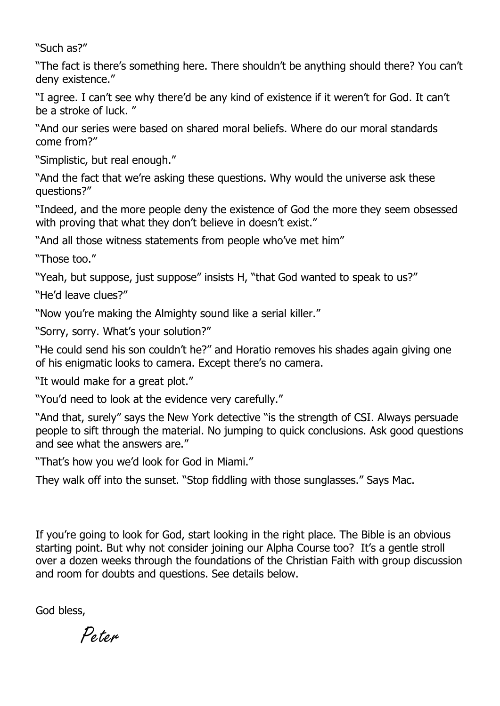"Such as?"

"The fact is there's something here. There shouldn't be anything should there? You can't deny existence."

"I agree. I can't see why there'd be any kind of existence if it weren't for God. It can't be a stroke of luck. "

"And our series were based on shared moral beliefs. Where do our moral standards come from?"

"Simplistic, but real enough."

"And the fact that we're asking these questions. Why would the universe ask these questions?"

"Indeed, and the more people deny the existence of God the more they seem obsessed with proving that what they don't believe in doesn't exist."

"And all those witness statements from people who've met him"

"Those too."

"Yeah, but suppose, just suppose" insists H, "that God wanted to speak to us?"

"He'd leave clues?"

"Now you're making the Almighty sound like a serial killer."

"Sorry, sorry. What's your solution?"

"He could send his son couldn't he?" and Horatio removes his shades again giving one of his enigmatic looks to camera. Except there's no camera.

"It would make for a great plot."

"You'd need to look at the evidence very carefully."

"And that, surely" says the New York detective "is the strength of CSI. Always persuade people to sift through the material. No jumping to quick conclusions. Ask good questions and see what the answers are."

"That's how you we'd look for God in Miami."

They walk off into the sunset. "Stop fiddling with those sunglasses." Says Mac.

If you're going to look for God, start looking in the right place. The Bible is an obvious starting point. But why not consider joining our Alpha Course too? It's a gentle stroll over a dozen weeks through the foundations of the Christian Faith with group discussion and room for doubts and questions. See details below.

God bless,

Poter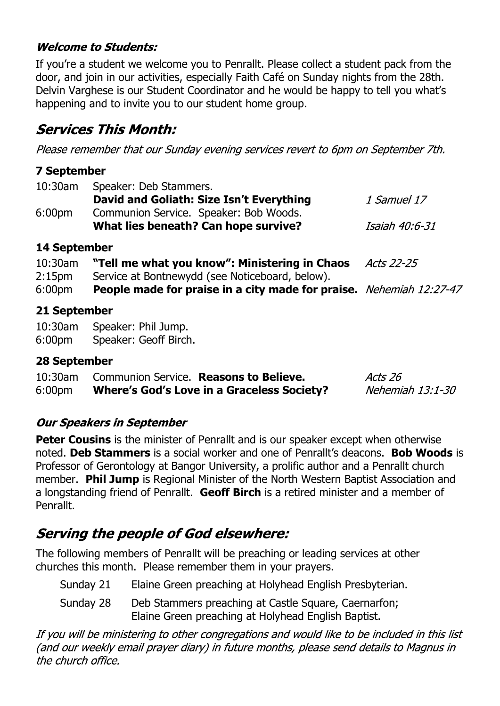### **Welcome to Students:**

If you're a student we welcome you to Penrallt. Please collect a student pack from the door, and join in our activities, especially Faith Café on Sunday nights from the 28th. Delvin Varghese is our Student Coordinator and he would be happy to tell you what's happening and to invite you to our student home group.

## **Services This Month:**

Please remember that our Sunday evening services revert to 6pm on September 7th.

#### **7 September**

| 10:30am            | Speaker: Deb Stammers.                                                     |                |  |  |
|--------------------|----------------------------------------------------------------------------|----------------|--|--|
|                    | David and Goliath: Size Isn't Everything                                   | 1 Samuel 17    |  |  |
| 6:00 <sub>pm</sub> | Communion Service. Speaker: Bob Woods.                                     |                |  |  |
|                    | <b>What lies beneath? Can hope survive?</b>                                | Isaiah 40:6-31 |  |  |
| 14 September       |                                                                            |                |  |  |
| $10:30$ am         | "Tell me what you know": Ministering in Chaos                              | Acts 22-25     |  |  |
| 2:15 <sub>pm</sub> | Service at Bontnewydd (see Noticeboard, below).                            |                |  |  |
| 6:00 <sub>pm</sub> | <b>People made for praise in a city made for praise.</b> Nehemiah 12:27-47 |                |  |  |
| 21 September       |                                                                            |                |  |  |
| 10:30am            | Speaker: Phil Jump.                                                        |                |  |  |
| 6:00 <sub>pm</sub> | Speaker: Geoff Birch.                                                      |                |  |  |

#### **28 September**

|                    | 10:30am Communion Service. Reasons to Believe. | Acts 26          |
|--------------------|------------------------------------------------|------------------|
| 6:00 <sub>pm</sub> | Where's God's Love in a Graceless Society?     | Nehemiah 13:1-30 |

#### **Our Speakers in September**

**Peter Cousins** is the minister of Penrallt and is our speaker except when otherwise noted. **Deb Stammers** is a social worker and one of Penrallt's deacons. **Bob Woods** is Professor of Gerontology at Bangor University, a prolific author and a Penrallt church member. **Phil Jump** is Regional Minister of the North Western Baptist Association and a longstanding friend of Penrallt. **Geoff Birch** is a retired minister and a member of Penrallt.

## **Serving the people of God elsewhere:**

The following members of Penrallt will be preaching or leading services at other churches this month. Please remember them in your prayers.

- Sunday 21 Elaine Green preaching at Holyhead English Presbyterian.
- Sunday 28 Deb Stammers preaching at Castle Square, Caernarfon; Elaine Green preaching at Holyhead English Baptist.

If you will be ministering to other congregations and would like to be included in this list (and our weekly email prayer diary) in future months, please send details to Magnus in the church office.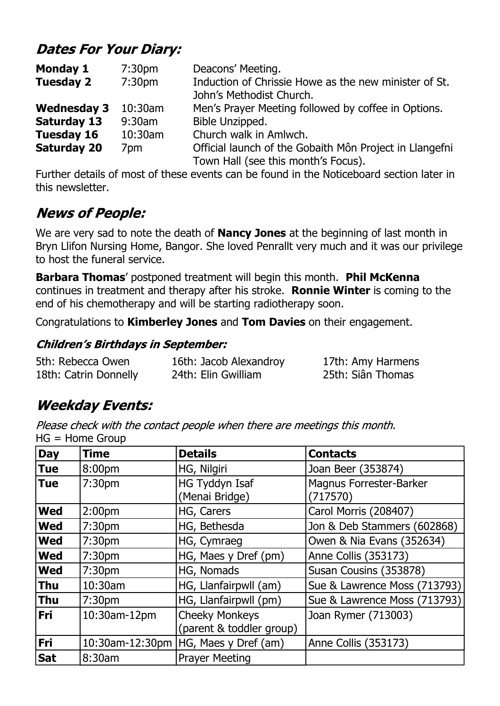## **Dates For Your Diary:**

| Monday 1           | 7:30 <sub>pm</sub> | Deacons' Meeting.                                       |  |
|--------------------|--------------------|---------------------------------------------------------|--|
| <b>Tuesday 2</b>   | 7:30 <sub>pm</sub> | Induction of Chrissie Howe as the new minister of St.   |  |
|                    |                    | John's Methodist Church.                                |  |
| <b>Wednesday 3</b> | $10:30$ am         | Men's Prayer Meeting followed by coffee in Options.     |  |
| <b>Saturday 13</b> | $9:30$ am          | Bible Unzipped.                                         |  |
| <b>Tuesday 16</b>  | 10:30am            | Church walk in Amlwch.                                  |  |
| <b>Saturday 20</b> | 7pm                | Official launch of the Gobaith Môn Project in Llangefni |  |
|                    |                    | Town Hall (see this month's Focus).                     |  |

Further details of most of these events can be found in the Noticeboard section later in this newsletter.

## **News of People:**

We are very sad to note the death of **Nancy Jones** at the beginning of last month in Bryn Llifon Nursing Home, Bangor. She loved Penrallt very much and it was our privilege to host the funeral service.

**Barbara Thomas**' postponed treatment will begin this month. **Phil McKenna** continues in treatment and therapy after his stroke. **Ronnie Winter** is coming to the end of his chemotherapy and will be starting radiotherapy soon.

Congratulations to **Kimberley Jones** and **Tom Davies** on their engagement.

#### **Children's Birthdays in September:**

| 5th: Rebecca Owen     | 16th: Jacob Alexandroy | 17th: Amy Harmens |
|-----------------------|------------------------|-------------------|
| 18th: Catrin Donnelly | 24th: Elin Gwilliam    | 25th: Siân Thomas |

## **Weekday Events:**

Please check with the contact people when there are meetings this month. HG = Home Group

| <b>Day</b> | <b>Time</b>        | <b>Details</b>                                    | <b>Contacts</b>                     |
|------------|--------------------|---------------------------------------------------|-------------------------------------|
| <b>Tue</b> | 8:00 <sub>pm</sub> | HG, Nilgiri                                       | Joan Beer (353874)                  |
| <b>Tue</b> | 7:30pm             | HG Tyddyn Isaf<br>(Menai Bridge)                  | Magnus Forrester-Barker<br>(717570) |
| <b>Wed</b> | 2:00 <sub>pm</sub> | HG, Carers                                        | Carol Morris (208407)               |
| <b>Wed</b> | 7:30pm             | HG, Bethesda                                      | Jon & Deb Stammers (602868)         |
| <b>Wed</b> | 7:30pm             | HG, Cymraeg                                       | Owen & Nia Evans (352634)           |
| <b>Wed</b> | 7:30 <sub>pm</sub> | HG, Maes y Dref (pm)                              | Anne Collis (353173)                |
| <b>Wed</b> | 7:30pm             | HG, Nomads                                        | Susan Cousins (353878)              |
| <b>Thu</b> | 10:30am            | HG, Llanfairpwll (am)                             | Sue & Lawrence Moss (713793)        |
| <b>Thu</b> | 7:30 <sub>pm</sub> | HG, Llanfairpwll (pm)                             | Sue & Lawrence Moss (713793)        |
| <b>Fri</b> | 10:30am-12pm       | <b>Cheeky Monkeys</b><br>(parent & toddler group) | Joan Rymer (713003)                 |
| Fri        |                    | 10:30am-12:30pm   HG, Maes y Dref (am)            | Anne Collis (353173)                |
| <b>Sat</b> | 8:30am             | <b>Prayer Meeting</b>                             |                                     |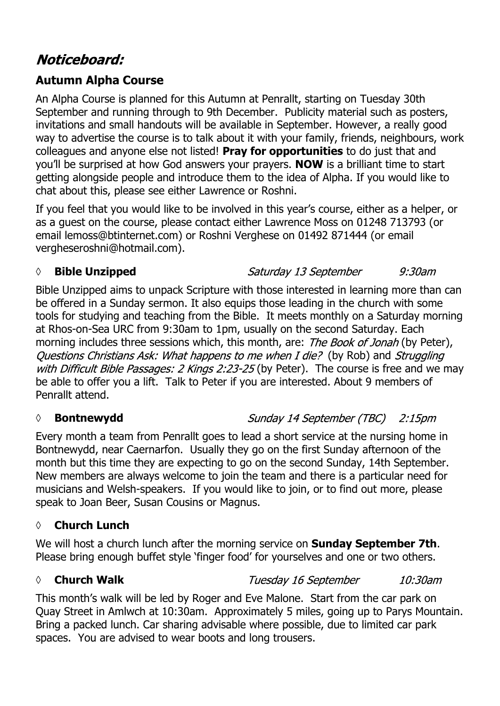## Noticeboard:

## **Autumn Alpha Course**

An Alpha Course is planned for this Autumn at Penrallt, starting on Tuesday 30th September and running through to 9th December. Publicity material such as posters, invitations and small handouts will be available in September. However, a really good way to advertise the course is to talk about it with your family, friends, neighbours, work colleagues and anyone else not listed! **Pray for opportunities** to do just that and you'll be surprised at how God answers your prayers. **NOW** is a brilliant time to start getting alongside people and introduce them to the idea of Alpha. If you would like to chat about this, please see either Lawrence or Roshni.

If you feel that you would like to be involved in this year's course, either as a helper, or as a guest on the course, please contact either Lawrence Moss on 01248 713793 (or email lemoss@btinternet.com) or Roshni Verghese on 01492 871444 (or email vergheseroshni@hotmail.com).

#### **◊ Bible Unzipped**

#### Saturday 13 September  $9:30$ am

Bible Unzipped aims to unpack Scripture with those interested in learning more than can be offered in a Sunday sermon. It also equips those leading in the church with some tools for studying and teaching from the Bible. It meets monthly on a Saturday morning at Rhos-on-Sea URC from 9:30am to 1pm, usually on the second Saturday. Each morning includes three sessions which, this month, are: *The Book of Jonah* (by Peter), Questions Christians Ask: What happens to me when I die? (by Rob) and Struggling with Difficult Bible Passages: 2 Kings  $2:23-25$  (by Peter). The course is free and we may be able to offer you a lift. Talk to Peter if you are interested. About 9 members of Penrallt attend.

#### *◊* **Bontnewydd**

#### Sunday 14 September (TBC)  $2:15$ pm

Every month a team from Penrallt goes to lead a short service at the nursing home in Bontnewydd, near Caernarfon. Usually they go on the first Sunday afternoon of the month but this time they are expecting to go on the second Sunday, 14th September. New members are always welcome to join the team and there is a particular need for musicians and Welsh-speakers. If you would like to join, or to find out more, please speak to Joan Beer, Susan Cousins or Magnus.

### **◊ Church Lunch**

We will host a church lunch after the morning service on **Sunday September 7th**. Please bring enough buffet style 'finger food' for yourselves and one or two others.

### *◊* **Church Walk**

Tuesday 16 September 10:30am

This month's walk will be led by Roger and Eve Malone. Start from the car park on Quay Street in Amlwch at 10:30am. Approximately 5 miles, going up to Parys Mountain. Bring a packed lunch. Car sharing advisable where possible, due to limited car park spaces. You are advised to wear boots and long trousers.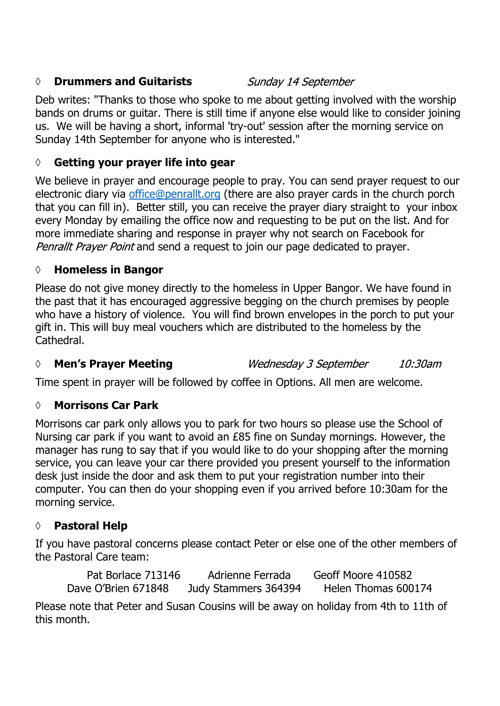#### *◊* **Drummers and Guitarists** Sunday 14 September

Deb writes: "Thanks to those who spoke to me about getting involved with the worship bands on drums or guitar. There is still time if anyone else would like to consider joining us. We will be having a short, informal 'try-out' session after the morning service on Sunday 14th September for anyone who is interested."

#### **◊ Getting your prayer life into gear**

We believe in prayer and encourage people to pray. You can send prayer request to our electronic diary via office@penrallt.org (there are also prayer cards in the church porch that you can fill in). Better still, you can receive the prayer diary straight to your inbox every Monday by emailing the office now and requesting to be put on the list. And for more immediate sharing and response in prayer why not search on Facebook for Penrallt Praver Point and send a request to join our page dedicated to prayer.

#### **◊ Homeless in Bangor**

Please do not give money directly to the homeless in Upper Bangor. We have found in the past that it has encouraged aggressive begging on the church premises by people who have a history of violence. You will find brown envelopes in the porch to put your gift in. This will buy meal vouchers which are distributed to the homeless by the Cathedral.

#### *◊* **Men's Prayer Meeting**

Wednesday 3 September  $10:30$ am

Time spent in prayer will be followed by coffee in Options. All men are welcome.

#### **◊ Morrisons Car Park**

Morrisons car park only allows you to park for two hours so please use the School of Nursing car park if you want to avoid an £85 fine on Sunday mornings. However, the manager has rung to say that if you would like to do your shopping after the morning service, you can leave your car there provided you present yourself to the information desk just inside the door and ask them to put your registration number into their computer. You can then do your shopping even if you arrived before 10:30am for the morning service.

### **◊ Pastoral Help**

If you have pastoral concerns please contact Peter or else one of the other members of the Pastoral Care team:

Pat Borlace 713146 Adrienne Ferrada Geoff Moore 410582 Dave O'Brien 671848 Judy Stammers 364394 Helen Thomas 600174

Please note that Peter and Susan Cousins will be away on holiday from 4th to 11th of this month.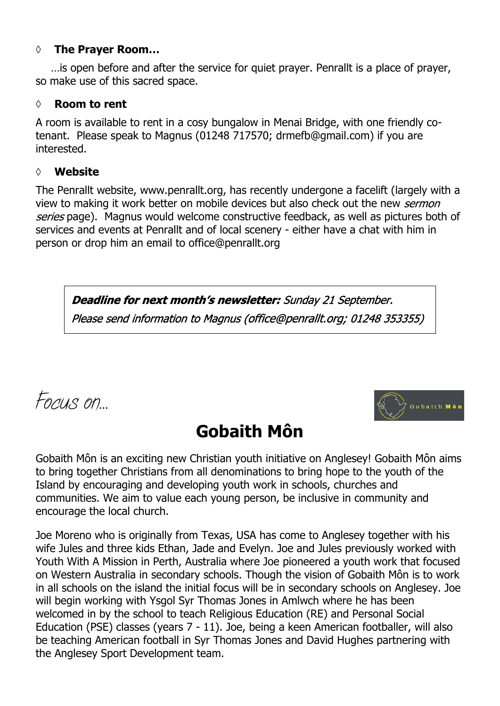#### **◊ The Prayer Room…**

…is open before and after the service for quiet prayer. Penrallt is a place of prayer, so make use of this sacred space.

#### **◊ Room to rent**

A room is available to rent in a cosy bungalow in Menai Bridge, with one friendly cotenant. Please speak to Magnus (01248 717570; drmefb@gmail.com) if you are interested.

#### **◊ Website**

The Penrallt website, www.penrallt.org, has recently undergone a facelift (largely with a view to making it work better on mobile devices but also check out the new *sermon* series page). Magnus would welcome constructive feedback, as well as pictures both of services and events at Penrallt and of local scenery - either have a chat with him in person or drop him an email to office@penrallt.org

**Deadline for next month's newsletter:** Sunday 21 September. Please send information to Magnus (office@penrallt.org; 01248 353355)

*Focus on…*



# **Gobaith Môn**

Gobaith Môn is an exciting new Christian youth initiative on Anglesey! Gobaith Môn aims to bring together Christians from all denominations to bring hope to the youth of the Island by encouraging and developing youth work in schools, churches and communities. We aim to value each young person, be inclusive in community and encourage the local church.

Joe Moreno who is originally from Texas, USA has come to Anglesey together with his wife Jules and three kids Ethan, Jade and Evelyn. Joe and Jules previously worked with Youth With A Mission in Perth, Australia where Joe pioneered a youth work that focused on Western Australia in secondary schools. Though the vision of Gobaith Môn is to work in all schools on the island the initial focus will be in secondary schools on Anglesey. Joe will begin working with Ysgol Syr Thomas Jones in Amlwch where he has been welcomed in by the school to teach Religious Education (RE) and Personal Social Education (PSE) classes (years 7 - 11). Joe, being a keen American footballer, will also be teaching American football in Syr Thomas Jones and David Hughes partnering with the Anglesey Sport Development team.